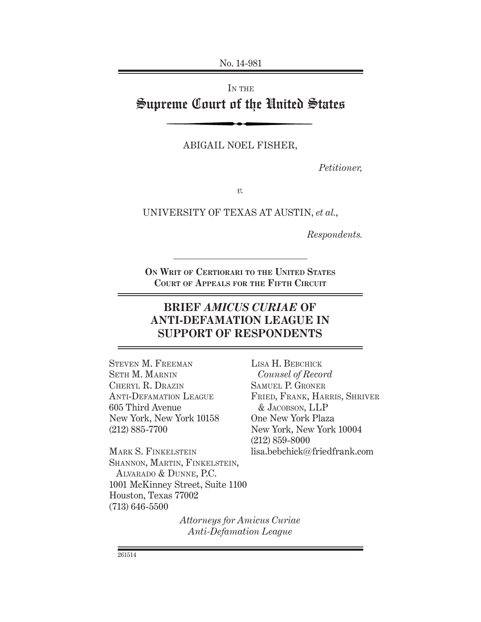No. 14-981

IN THE

# Supreme Court of the United States

ABIGAIL NOEL FISHER,

*Petitioner,*

*v.*

UNIVERSITY OF TEXAS AT AUSTIN, *et al.*,

*Respondents.*

**ON WRIT OF CERTIORARI TO THE UNITED STATES COURT OF APPEALS FOR THE FIFTH CIRCUIT**

## **BRIEF** *AMICUS CURIAE* **OF ANTI-DEFAMATION LEAGUE IN SUPPORT OF RESPONDENTS**

STEVEN M. FREEMAN SETH M. MARNIN CHERYL R. DRAZIN ANTI-DEFAMATION LEAGUE 605 Third Avenue New York, New York 10158 (212) 885-7700

MARK S. FINKELSTEIN SHANNON, MARTIN, FINKELSTEIN, ALVARADO & DUNNE, P.C. 1001 McKinney Street, Suite 1100 Houston, Texas 77002 (713) 646-5500

LISA H. BEBCHICK *Counsel of Record* SAMUEL P. GRONER FRIED, FRANK, HARRIS, SHRIVER & JACOBSON, LLP One New York Plaza New York, New York 10004 (212) 859-8000 lisa.bebchick@friedfrank.com

*Attorneys for Amicus Curiae Anti-Defamation League*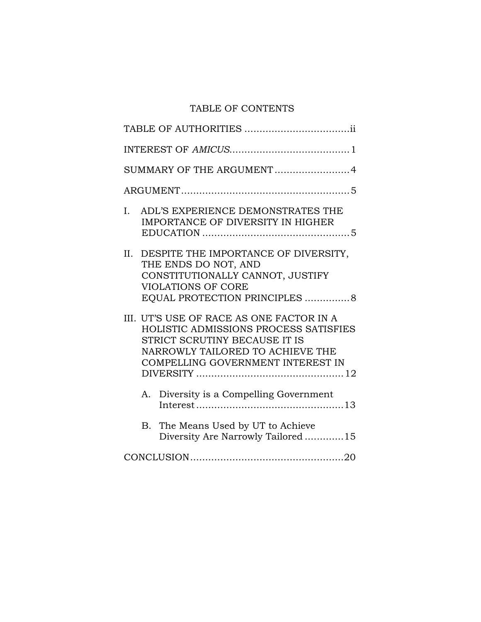## TABLE OF CONTENTS

| SUMMARY OF THE ARGUMENT4                                                                                                                                                                    |
|---------------------------------------------------------------------------------------------------------------------------------------------------------------------------------------------|
|                                                                                                                                                                                             |
| ADL'S EXPERIENCE DEMONSTRATES THE<br>I.<br>IMPORTANCE OF DIVERSITY IN HIGHER                                                                                                                |
| II.<br>DESPITE THE IMPORTANCE OF DIVERSITY,<br>THE ENDS DO NOT, AND<br>CONSTITUTIONALLY CANNOT, JUSTIFY<br><b>VIOLATIONS OF CORE</b><br>EQUAL PROTECTION PRINCIPLES 8                       |
| III. UT'S USE OF RACE AS ONE FACTOR IN A<br>HOLISTIC ADMISSIONS PROCESS SATISFIES<br>STRICT SCRUTINY BECAUSE IT IS<br>NARROWLY TAILORED TO ACHIEVE THE<br>COMPELLING GOVERNMENT INTEREST IN |
| Diversity is a Compelling Government<br>А.                                                                                                                                                  |
| B. The Means Used by UT to Achieve<br>Diversity Are Narrowly Tailored 15                                                                                                                    |
|                                                                                                                                                                                             |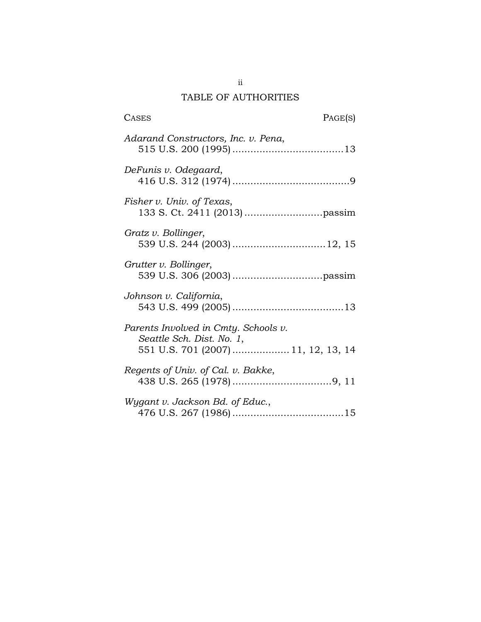## TABLE OF AUTHORITIES

| <b>CASES</b>                                                                                             | PAGE(S) |
|----------------------------------------------------------------------------------------------------------|---------|
| Adarand Constructors, Inc. v. Pena,                                                                      |         |
| DeFunis v. Odegaard,                                                                                     |         |
| Fisher v. Univ. of Texas,                                                                                |         |
| Gratz v. Bollinger,<br>539 U.S. 244 (2003)  12, 15                                                       |         |
| Grutter v. Bollinger,                                                                                    |         |
| Johnson v. California,                                                                                   |         |
| Parents Involved in Cmty. Schools v.<br>Seattle Sch. Dist. No. 1,<br>551 U.S. 701 (2007)  11, 12, 13, 14 |         |
| Regents of Univ. of Cal. v. Bakke,                                                                       |         |
| Wygant v. Jackson Bd. of Educ.,                                                                          |         |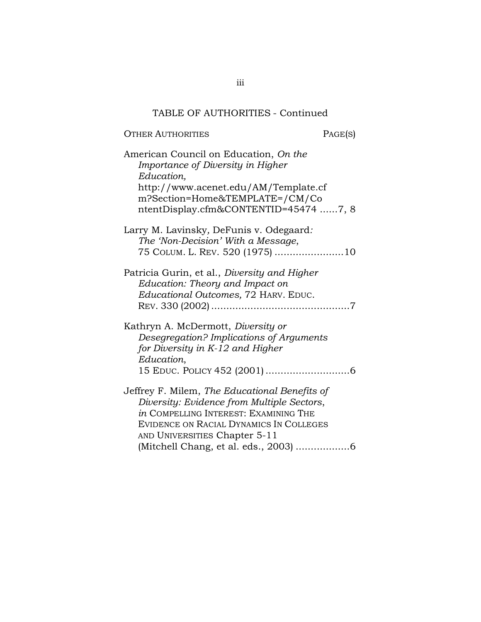## TABLE OF AUTHORITIES - Continued

| OTHER AUTHORITIES                                                                                                                                                                                                                                         | PAGE(S) |
|-----------------------------------------------------------------------------------------------------------------------------------------------------------------------------------------------------------------------------------------------------------|---------|
| American Council on Education, On the<br>Importance of Diversity in Higher<br>Education,<br>http://www.acenet.edu/AM/Template.cf<br>m?Section=Home&TEMPLATE=/CM/Co<br>ntentDisplay.cfm&CONTENTID=45474 7, 8                                               |         |
| Larry M. Lavinsky, DeFunis v. Odegaard:<br>The 'Non-Decision' With a Message,<br>75 COLUM. L. REV. 520 (1975) 10                                                                                                                                          |         |
| Patricia Gurin, et al., Diversity and Higher<br>Education: Theory and Impact on<br>Educational Outcomes, 72 HARV. EDUC.                                                                                                                                   |         |
| Kathryn A. McDermott, Diversity or<br>Desegregation? Implications of Arguments<br>for Diversity in K-12 and Higher<br>Education,                                                                                                                          |         |
| Jeffrey F. Milem, The Educational Benefits of<br>Diversity: Evidence from Multiple Sectors,<br>in COMPELLING INTEREST: EXAMINING THE<br>EVIDENCE ON RACIAL DYNAMICS IN COLLEGES<br>AND UNIVERSITIES Chapter 5-11<br>(Mitchell Chang, et al. eds., 2003) 6 |         |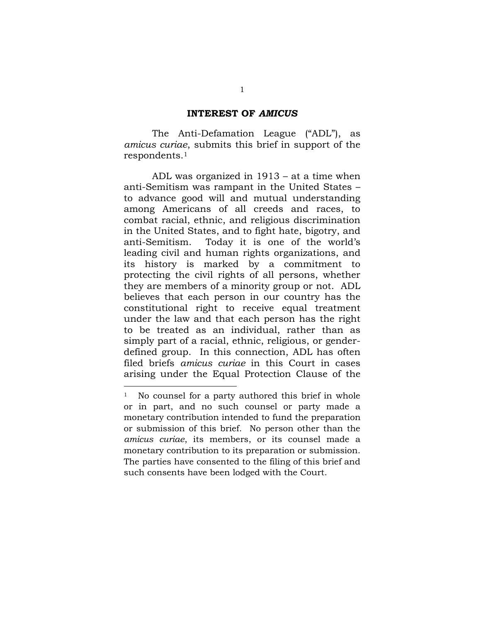#### **INTEREST OF** *AMICUS*

The Anti-Defamation League ("ADL"), as *amicus curiae*, submits this brief in support of the respondents.<sup>1</sup>

ADL was organized in 1913 – at a time when anti-Semitism was rampant in the United States – to advance good will and mutual understanding among Americans of all creeds and races, to combat racial, ethnic, and religious discrimination in the United States, and to fight hate, bigotry, and anti-Semitism. Today it is one of the world's leading civil and human rights organizations, and its history is marked by a commitment to protecting the civil rights of all persons, whether they are members of a minority group or not. ADL believes that each person in our country has the constitutional right to receive equal treatment under the law and that each person has the right to be treated as an individual, rather than as simply part of a racial, ethnic, religious, or genderdefined group. In this connection, ADL has often filed briefs *amicus curiae* in this Court in cases arising under the Equal Protection Clause of the

<sup>&</sup>lt;sup>1</sup> No counsel for a party authored this brief in whole or in part, and no such counsel or party made a monetary contribution intended to fund the preparation or submission of this brief. No person other than the *amicus curiae*, its members, or its counsel made a monetary contribution to its preparation or submission. The parties have consented to the filing of this brief and such consents have been lodged with the Court.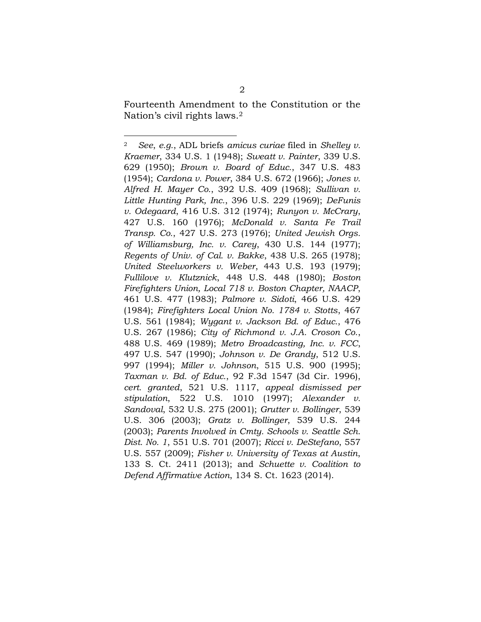Fourteenth Amendment to the Constitution or the Nation's civil rights laws.<sup>2</sup>

 $\overline{a}$ 

<span id="page-5-0"></span><sup>2</sup> *See*, *e.g.*, ADL briefs *amicus curiae* filed in *Shelley v. Kraemer*, 334 U.S. 1 (1948); *Sweatt v. Painter*, 339 U.S. 629 (1950); *Brown v. Board of Educ.*, 347 U.S. 483 (1954); *Cardona v. Power*, 384 U.S. 672 (1966); *Jones v. Alfred H. Mayer Co.*, 392 U.S. 409 (1968); *Sullivan v. Little Hunting Park, Inc.*, 396 U.S. 229 (1969); *DeFunis v. Odegaard*, 416 U.S. 312 (1974); *Runyon v. McCrary*, 427 U.S. 160 (1976); *McDonald v. Santa Fe Trail Transp. Co.*, 427 U.S. 273 (1976); *United Jewish Orgs. of Williamsburg, Inc. v. Carey*, 430 U.S. 144 (1977); *Regents of Univ. of Cal. v. Bakke*, 438 U.S. 265 (1978); *United Steelworkers v. Weber*, 443 U.S. 193 (1979); *Fullilove v. Klutznick*, 448 U.S. 448 (1980); *Boston Firefighters Union, Local 718 v. Boston Chapter, NAACP*, 461 U.S. 477 (1983); *Palmore v. Sidoti*, 466 U.S. 429 (1984); *Firefighters Local Union No. 1784 v. Stotts*, 467 U.S. 561 (1984); *Wygant v. Jackson Bd. of Educ.*, 476 U.S. 267 (1986); *City of Richmond v. J.A. Croson Co.*, 488 U.S. 469 (1989); *Metro Broadcasting, Inc. v. FCC*, 497 U.S. 547 (1990); *Johnson v. De Grandy*, 512 U.S. 997 (1994); *Miller v. Johnson*, 515 U.S. 900 (1995); *Taxman v. Bd. of Educ.*, 92 F.3d 1547 (3d Cir. 1996), *cert. granted*, 521 U.S. 1117, *appeal dismissed per stipulation*, 522 U.S. 1010 (1997); *Alexander v. Sandoval*, 532 U.S. 275 (2001); *Grutter v. Bollinger*, 539 U.S. 306 (2003); *Gratz v. Bollinger*, 539 U.S. 244 (2003); *Parents Involved in Cmty. Schools v. Seattle Sch. Dist. No. 1*, 551 U.S. 701 (2007); *Ricci v. DeStefano*, 557 U.S. 557 (2009); *Fisher v. University of Texas at Austin*, 133 S. Ct. 2411 (2013); and *Schuette v. Coalition to Defend Affirmative Action*, 134 S. Ct. 1623 (2014).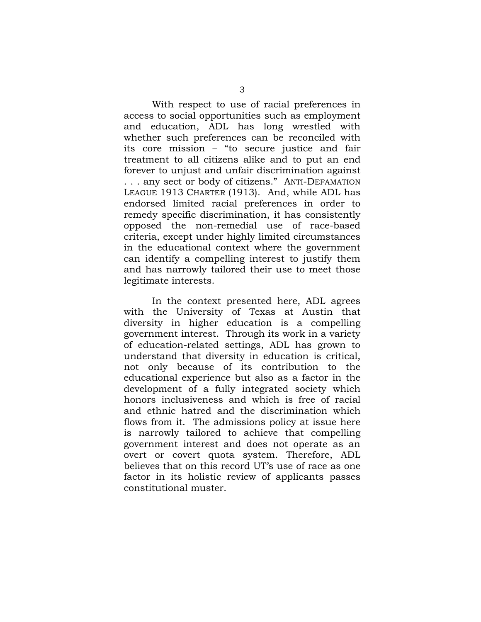With respect to use of racial preferences in access to social opportunities such as employment and education, ADL has long wrestled with whether such preferences can be reconciled with its core mission – "to secure justice and fair treatment to all citizens alike and to put an end forever to unjust and unfair discrimination against . . . any sect or body of citizens." ANTI-DEFAMATION LEAGUE 1913 CHARTER (1913). And, while ADL has endorsed limited racial preferences in order to remedy specific discrimination, it has consistently opposed the non-remedial use of race-based criteria, except under highly limited circumstances in the educational context where the government can identify a compelling interest to justify them and has narrowly tailored their use to meet those legitimate interests.

In the context presented here, ADL agrees with the University of Texas at Austin that diversity in higher education is a compelling government interest. Through its work in a variety of education-related settings, ADL has grown to understand that diversity in education is critical, not only because of its contribution to the educational experience but also as a factor in the development of a fully integrated society which honors inclusiveness and which is free of racial and ethnic hatred and the discrimination which flows from it. The admissions policy at issue here is narrowly tailored to achieve that compelling government interest and does not operate as an overt or covert quota system. Therefore, ADL believes that on this record UT's use of race as one factor in its holistic review of applicants passes constitutional muster.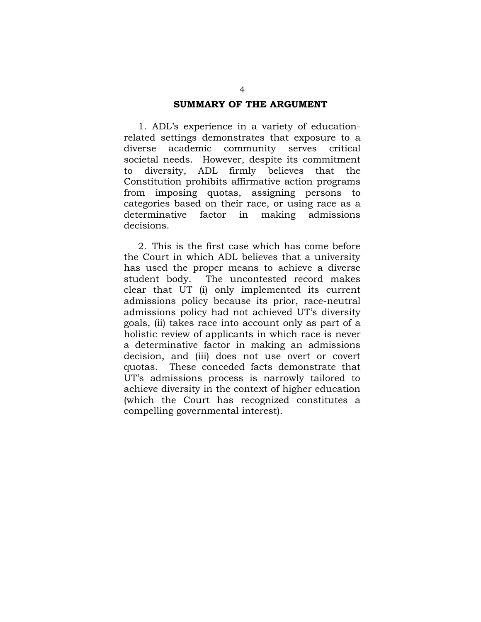#### **SUMMARY OF THE ARGUMENT**

<span id="page-7-0"></span>1. ADL's experience in a variety of educationrelated settings demonstrates that exposure to a diverse academic community serves critical societal needs. However, despite its commitment to diversity, ADL firmly believes that the Constitution prohibits affirmative action programs from imposing quotas, assigning persons to categories based on their race, or using race as a determinative factor in making admissions decisions.

2. This is the first case which has come before the Court in which ADL believes that a university has used the proper means to achieve a diverse student body. The uncontested record makes clear that UT (i) only implemented its current admissions policy because its prior, race-neutral admissions policy had not achieved UT's diversity goals, (ii) takes race into account only as part of a holistic review of applicants in which race is never a determinative factor in making an admissions decision, and (iii) does not use overt or covert quotas. These conceded facts demonstrate that UT's admissions process is narrowly tailored to achieve diversity in the context of higher education (which the Court has recognized constitutes a compelling governmental interest).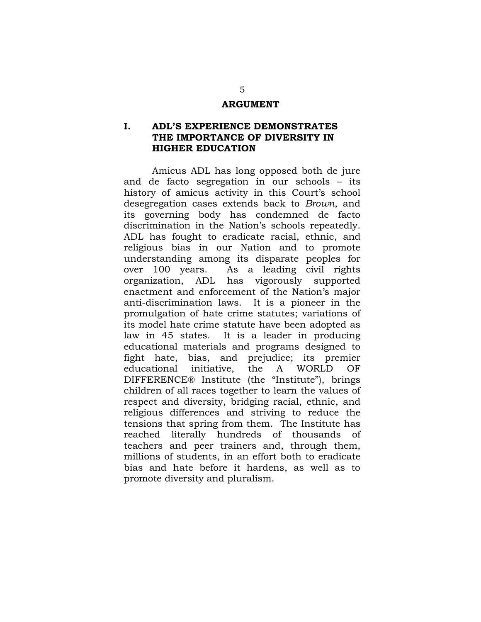#### **ARGUMENT**

## <span id="page-8-1"></span><span id="page-8-0"></span>**I. ADL'S EXPERIENCE DEMONSTRATES THE IMPORTANCE OF DIVERSITY IN HIGHER EDUCATION**

Amicus ADL has long opposed both de jure and de facto segregation in our schools – its history of amicus activity in this Court's school desegregation cases extends back to *Brown*, and its governing body has condemned de facto discrimination in the Nation's schools repeatedly. ADL has fought to eradicate racial, ethnic, and religious bias in our Nation and to promote understanding among its disparate peoples for over 100 years. As a leading civil rights organization, ADL has vigorously supported enactment and enforcement of the Nation's major anti-discrimination laws. It is a pioneer in the promulgation of hate crime statutes; variations of its model hate crime statute have been adopted as law in 45 states. It is a leader in producing educational materials and programs designed to fight hate, bias, and prejudice; its premier educational initiative, the A WORLD OF DIFFERENCE® Institute (the "Institute"), brings children of all races together to learn the values of respect and diversity, bridging racial, ethnic, and religious differences and striving to reduce the tensions that spring from them. The Institute has reached literally hundreds of thousands of teachers and peer trainers and, through them, millions of students, in an effort both to eradicate bias and hate before it hardens, as well as to promote diversity and pluralism.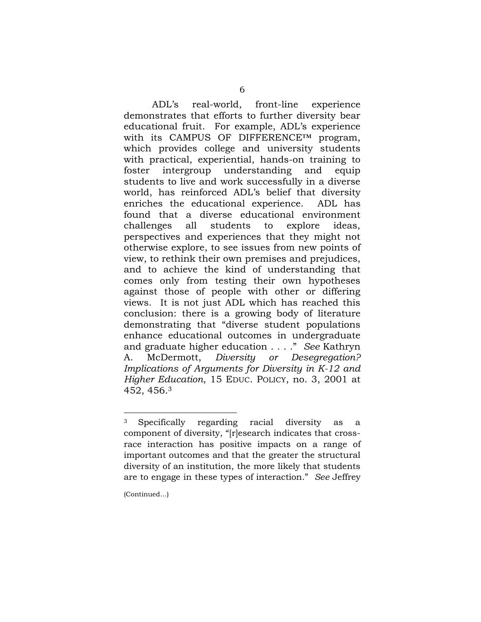ADL's real-world, front-line experience demonstrates that efforts to further diversity bear educational fruit. For example, ADL's experience with its CAMPUS OF DIFFERENCE™ program, which provides college and university students with practical, experiential, hands-on training to foster intergroup understanding and equip students to live and work successfully in a diverse world, has reinforced ADL's belief that diversity enriches the educational experience. ADL has found that a diverse educational environment challenges all students to explore ideas, perspectives and experiences that they might not otherwise explore, to see issues from new points of view, to rethink their own premises and prejudices, and to achieve the kind of understanding that comes only from testing their own hypotheses against those of people with other or differing views. It is not just ADL which has reached this conclusion: there is a growing body of literature demonstrating that "diverse student populations enhance educational outcomes in undergraduate and graduate higher education . . . ." *See* Kathryn A. McDermott, *Diversity or Desegregation? Implications of Arguments for Diversity in K-12 and Higher Education*, 15 EDUC. POLICY, no. 3, 2001 at 452, 456. 3

<span id="page-9-0"></span> $\overline{a}$ 

<sup>3</sup> Specifically regarding racial diversity as a component of diversity, "[r]esearch indicates that crossrace interaction has positive impacts on a range of important outcomes and that the greater the structural diversity of an institution, the more likely that students are to engage in these types of interaction." *See* Jeffrey

<sup>(</sup>Continued…)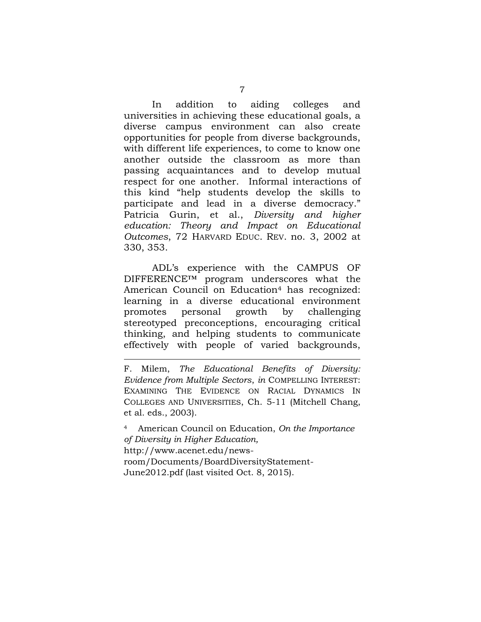In addition to aiding colleges and universities in achieving these educational goals, a diverse campus environment can also create opportunities for people from diverse backgrounds, with different life experiences, to come to know one another outside the classroom as more than passing acquaintances and to develop mutual respect for one another. Informal interactions of this kind "help students develop the skills to participate and lead in a diverse democracy." Patricia Gurin, et al., *Diversity and higher education: Theory and Impact on Educational Outcomes*, 72 HARVARD EDUC. REV. no. 3, 2002 at 330, 353.

ADL's experience with the CAMPUS OF DIFFERENCE™ program underscores what the American Council on Education<sup>4</sup> has recognized: learning in a diverse educational environment promotes personal growth by challenging stereotyped preconceptions, encouraging critical thinking, and helping students to communicate effectively with people of varied backgrounds,

F. Milem, *The Educational Benefits of Diversity: Evidence from Multiple Sectors*, *in* COMPELLING INTEREST: EXAMINING THE EVIDENCE ON RACIAL DYNAMICS IN COLLEGES AND UNIVERSITIES, Ch. 5-11 (Mitchell Chang, et al. eds., 2003).

<span id="page-10-1"></span>

<span id="page-10-0"></span><sup>4</sup> American Council on Education, *On the Importance of Diversity in Higher Education,*  http://www.acenet.edu/newsroom/Documents/BoardDiversityStatement-June2012.pdf (last visited Oct. 8, 2015).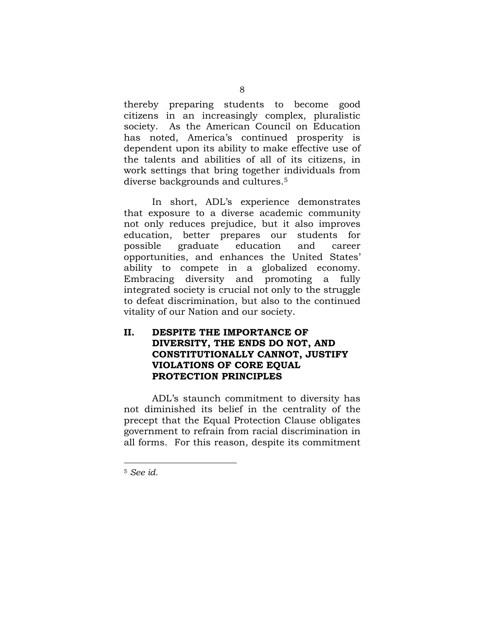thereby preparing students to become good citizens in an increasingly complex, pluralistic society. As the American Council on Education has noted, America's continued prosperity is dependent upon its ability to make effective use of the talents and abilities of all of its citizens, in work settings that bring together individuals from diverse backgrounds and cultures.<sup>5</sup>

In short, ADL's experience demonstrates that exposure to a diverse academic community not only reduces prejudice, but it also improves education, better prepares our students for possible graduate education and career opportunities, and enhances the United States' ability to compete in a globalized economy. Embracing diversity and promoting a fully integrated society is crucial not only to the struggle to defeat discrimination, but also to the continued vitality of our Nation and our society.

## <span id="page-11-0"></span>**II. DESPITE THE IMPORTANCE OF DIVERSITY, THE ENDS DO NOT, AND CONSTITUTIONALLY CANNOT, JUSTIFY VIOLATIONS OF CORE EQUAL PROTECTION PRINCIPLES**

ADL's staunch commitment to diversity has not diminished its belief in the centrality of the precept that the Equal Protection Clause obligates government to refrain from racial discrimination in all forms. For this reason, despite its commitment

<span id="page-11-1"></span><sup>5</sup> *See id.*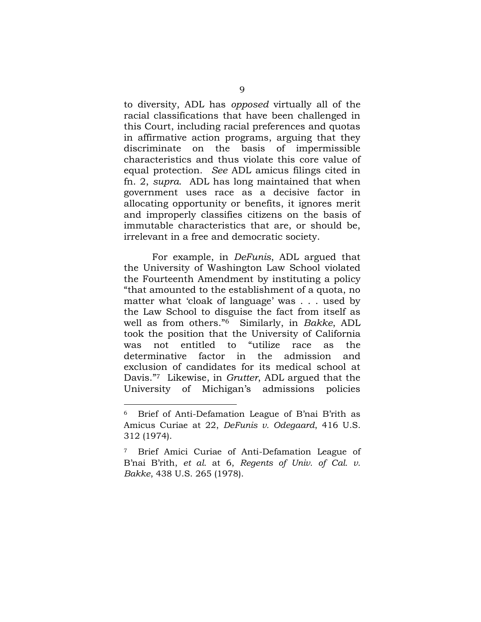to diversity, ADL has *opposed* virtually all of the racial classifications that have been challenged in this Court, including racial preferences and quotas in affirmative action programs, arguing that they discriminate on the basis of impermissible characteristics and thus violate this core value of equal protection. *See* ADL amicus filings cited in fn. 2, *supra*. ADL has long maintained that when government uses race as a decisive factor in allocating opportunity or benefits, it ignores merit and improperly classifies citizens on the basis of immutable characteristics that are, or should be, irrelevant in a free and democratic society.

For example, in *DeFunis*, ADL argued that the University of Washington Law School violated the Fourteenth Amendment by instituting a policy "that amounted to the establishment of a quota, no matter what 'cloak of language' was . . . used by the Law School to disguise the fact from itself as well as from others." <sup>6</sup> Similarly, in *Bakke*, ADL took the position that the University of California was not entitled to "utilize race as the determinative factor in the admission and exclusion of candidates for its medical school at Davis."7 Likewise, in *Grutter*, ADL argued that the University of Michigan's admissions policies

<span id="page-12-0"></span> $\overline{a}$ 

<sup>6</sup> Brief of Anti-Defamation League of B'nai B'rith as Amicus Curiae at 22, *DeFunis v. Odegaard*, 416 U.S. 312 (1974).

<span id="page-12-1"></span><sup>7</sup> Brief Amici Curiae of Anti-Defamation League of B'nai B'rith, *et al.* at 6, *Regents of Univ. of Cal. v. Bakke*, 438 U.S. 265 (1978).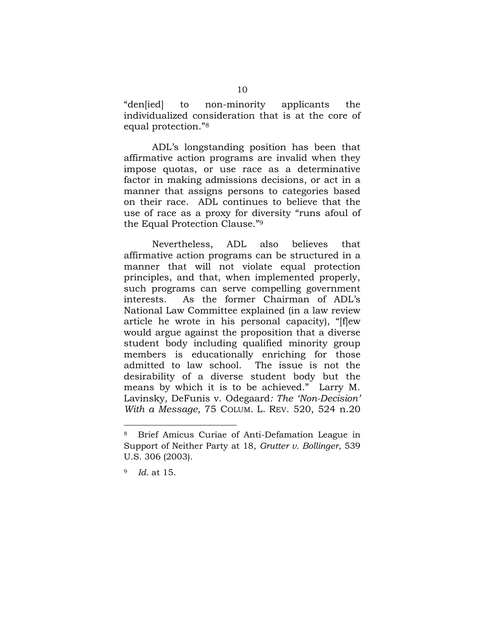"den[ied] to non-minority applicants the individualized consideration that is at the core of equal protection."<sup>8</sup>

ADL's longstanding position has been that affirmative action programs are invalid when they impose quotas, or use race as a determinative factor in making admissions decisions, or act in a manner that assigns persons to categories based on their race. ADL continues to believe that the use of race as a proxy for diversity "runs afoul of the Equal Protection Clause."<sup>9</sup>

Nevertheless, ADL also believes that affirmative action programs can be structured in a manner that will not violate equal protection principles, and that, when implemented properly, such programs can serve compelling government interests. As the former Chairman of ADL's National Law Committee explained (in a law review article he wrote in his personal capacity), "[f]ew would argue against the proposition that a diverse student body including qualified minority group members is educationally enriching for those admitted to law school. The issue is not the desirability of a diverse student body but the means by which it is to be achieved." Larry M. Lavinsky*,* DeFunis v. Odegaard*: The 'Non-Decision' With a Message*, 75 COLUM. L. REV. 520, 524 n.20

<span id="page-13-0"></span>

<sup>8</sup> Brief Amicus Curiae of Anti-Defamation League in Support of Neither Party at 18, *Grutter v. Bollinger*, 539 U.S. 306 (2003).

<sup>9</sup> *Id.* at 15.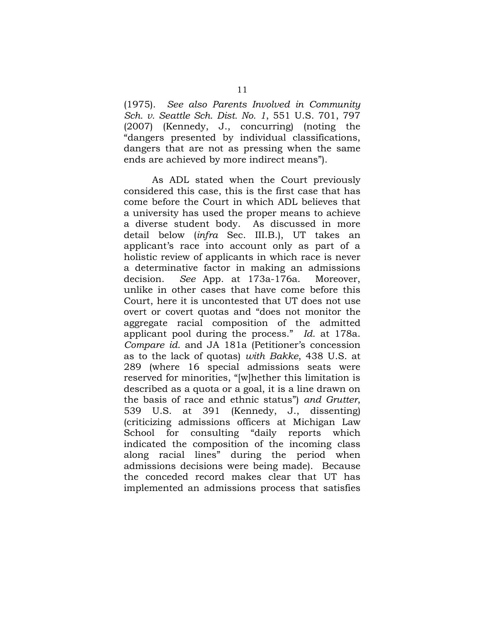<span id="page-14-0"></span>(1975). *See also Parents Involved in Community Sch. v. Seattle Sch. Dist. No. 1*, 551 U.S. 701, 797 (2007) (Kennedy, J., concurring) (noting the "dangers presented by individual classifications, dangers that are not as pressing when the same ends are achieved by more indirect means").

<span id="page-14-1"></span>As ADL stated when the Court previously considered this case, this is the first case that has come before the Court in which ADL believes that a university has used the proper means to achieve a diverse student body. As discussed in more detail below (*infra* Sec. III.B.), UT takes an applicant's race into account only as part of a holistic review of applicants in which race is never a determinative factor in making an admissions decision. *See* App. at 173a-176a. Moreover, unlike in other cases that have come before this Court, here it is uncontested that UT does not use overt or covert quotas and "does not monitor the aggregate racial composition of the admitted applicant pool during the process." *Id.* at 178a. *Compare id.* and JA 181a (Petitioner's concession as to the lack of quotas) *with Bakke*, 438 U.S. at 289 (where 16 special admissions seats were reserved for minorities, "[w]hether this limitation is described as a quota or a goal, it is a line drawn on the basis of race and ethnic status") *and Grutter*, 539 U.S. at 391 (Kennedy, J., dissenting) (criticizing admissions officers at Michigan Law School for consulting "daily reports which indicated the composition of the incoming class along racial lines" during the period when admissions decisions were being made). Because the conceded record makes clear that UT has implemented an admissions process that satisfies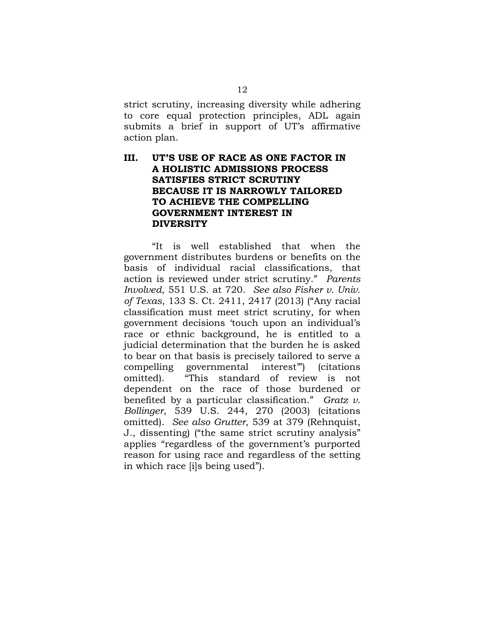strict scrutiny, increasing diversity while adhering to core equal protection principles, ADL again submits a brief in support of UT's affirmative action plan.

## <span id="page-15-0"></span>**III. UT'S USE OF RACE AS ONE FACTOR IN A HOLISTIC ADMISSIONS PROCESS SATISFIES STRICT SCRUTINY BECAUSE IT IS NARROWLY TAILORED TO ACHIEVE THE COMPELLING GOVERNMENT INTEREST IN DIVERSITY**

<span id="page-15-2"></span><span id="page-15-1"></span>"It is well established that when the government distributes burdens or benefits on the basis of individual racial classifications, that action is reviewed under strict scrutiny." *Parents Involved*, 551 U.S. at 720. *See also Fisher v. Univ. of Texas*, 133 S. Ct. 2411, 2417 (2013) ("Any racial classification must meet strict scrutiny, for when government decisions 'touch upon an individual's race or ethnic background, he is entitled to a judicial determination that the burden he is asked to bear on that basis is precisely tailored to serve a compelling governmental interest'") (citations omitted). "This standard of review is not dependent on the race of those burdened or benefited by a particular classification." *Gratz v. Bollinger*, 539 U.S. 244, 270 (2003) (citations omitted). *See also Grutter*, 539 at 379 (Rehnquist, J., dissenting) ("the same strict scrutiny analysis" applies "regardless of the government's purported reason for using race and regardless of the setting in which race [i]s being used").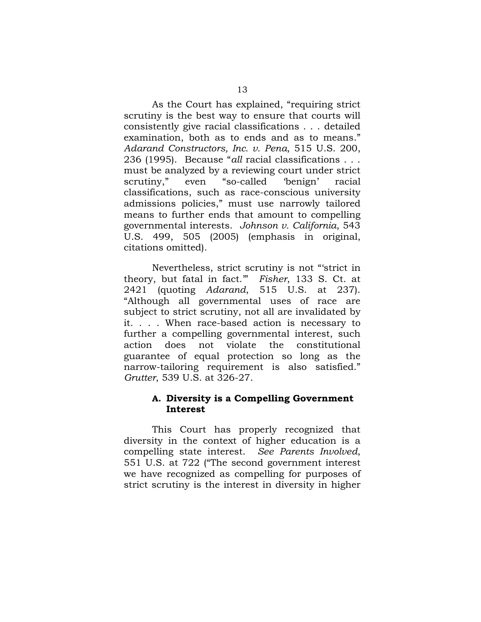<span id="page-16-1"></span>As the Court has explained, "requiring strict scrutiny is the best way to ensure that courts will consistently give racial classifications . . . detailed examination, both as to ends and as to means." *Adarand Constructors, Inc. v. Pena*, 515 U.S. 200, 236 (1995). Because "*all* racial classifications . . . must be analyzed by a reviewing court under strict scrutiny," even "so-called 'benign' racial classifications, such as race-conscious university admissions policies," must use narrowly tailored means to further ends that amount to compelling governmental interests. *Johnson v. California*, 543 U.S. 499, 505 (2005) (emphasis in original, citations omitted).

<span id="page-16-2"></span>Nevertheless, strict scrutiny is not "'strict in theory, but fatal in fact.'" *Fisher*, 133 S. Ct. at 2421 (quoting *Adarand*, 515 U.S. at 237). "Although all governmental uses of race are subject to strict scrutiny, not all are invalidated by it. . . . When race-based action is necessary to further a compelling governmental interest, such action does not violate the constitutional guarantee of equal protection so long as the narrow-tailoring requirement is also satisfied." *Grutter*, 539 U.S. at 326-27.

#### <span id="page-16-3"></span><span id="page-16-0"></span>**A. Diversity is a Compelling Government Interest**

This Court has properly recognized that diversity in the context of higher education is a compelling state interest. *See Parents Involved*, 551 U.S. at 722 ("The second government interest we have recognized as compelling for purposes of strict scrutiny is the interest in diversity in higher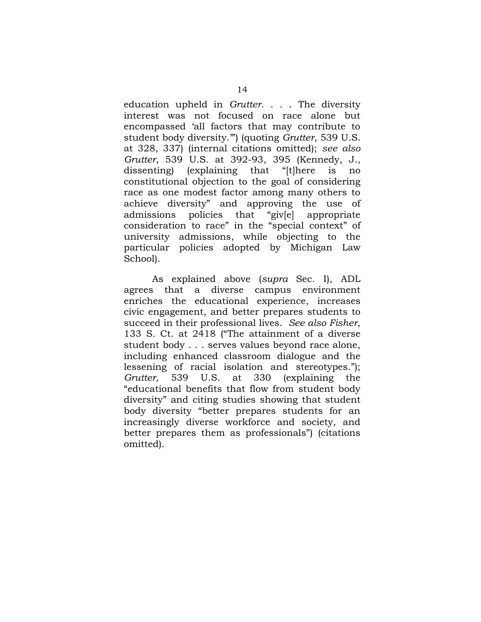education upheld in *Grutter*. . . . The diversity interest was not focused on race alone but encompassed 'all factors that may contribute to student body diversity.'") (quoting *Grutter*, 539 U.S. at 328, 337) (internal citations omitted); *see also Grutter*, 539 U.S. at 392-93, 395 (Kennedy, J., dissenting) (explaining that "[t]here is no constitutional objection to the goal of considering race as one modest factor among many others to achieve diversity" and approving the use of admissions policies that "giv[e] appropriate consideration to race" in the "special context" of university admissions, while objecting to the particular policies adopted by Michigan Law School).

As explained above (*supra* Sec. I), ADL agrees that a diverse campus environment enriches the educational experience, increases civic engagement, and better prepares students to succeed in their professional lives. *See also Fisher*, 133 S. Ct. at 2418 ("The attainment of a diverse student body . . . serves values beyond race alone, including enhanced classroom dialogue and the lessening of racial isolation and stereotypes."); *Grutter*, 539 U.S. at 330 (explaining the "educational benefits that flow from student body diversity" and citing studies showing that student body diversity "better prepares students for an increasingly diverse workforce and society, and better prepares them as professionals") (citations omitted).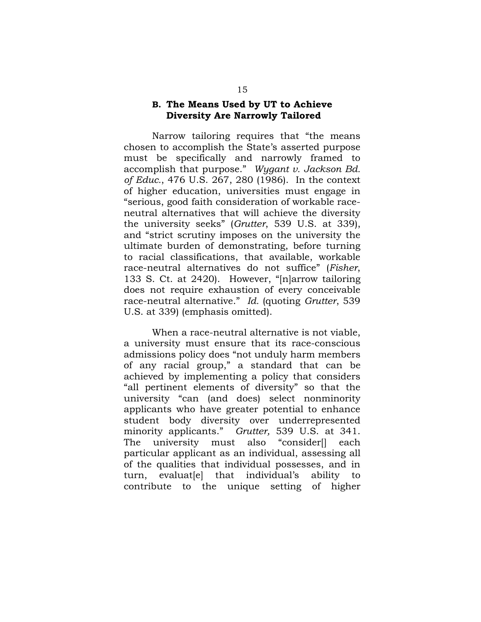#### <span id="page-18-1"></span><span id="page-18-0"></span>**B. The Means Used by UT to Achieve Diversity Are Narrowly Tailored**

Narrow tailoring requires that "the means chosen to accomplish the State's asserted purpose must be specifically and narrowly framed to accomplish that purpose." *Wygant v. Jackson Bd. of Educ.*, 476 U.S. 267, 280 (1986). In the context of higher education, universities must engage in "serious, good faith consideration of workable raceneutral alternatives that will achieve the diversity the university seeks" (*Grutter*, 539 U.S. at 339), and "strict scrutiny imposes on the university the ultimate burden of demonstrating, before turning to racial classifications, that available, workable race-neutral alternatives do not suffice" (*Fisher*, 133 S. Ct. at 2420). However, "[n]arrow tailoring does not require exhaustion of every conceivable race-neutral alternative." *Id.* (quoting *Grutter*, 539 U.S. at 339) (emphasis omitted).

When a race-neutral alternative is not viable, a university must ensure that its race-conscious admissions policy does "not unduly harm members of any racial group," a standard that can be achieved by implementing a policy that considers "all pertinent elements of diversity" so that the university "can (and does) select nonminority applicants who have greater potential to enhance student body diversity over underrepresented minority applicants." *Grutter,* 539 U.S. at 341. The university must also "consider[] each particular applicant as an individual, assessing all of the qualities that individual possesses, and in turn, evaluat[e] that individual's ability to contribute to the unique setting of higher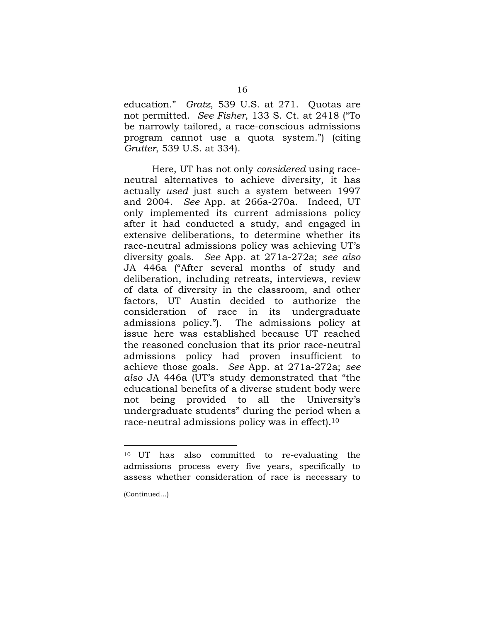<span id="page-19-0"></span>education." *Gratz*, 539 U.S. at 271. Quotas are not permitted. *See Fisher*, 133 S. Ct. at 2418 ("To be narrowly tailored, a race-conscious admissions program cannot use a quota system.") (citing *Grutter*, 539 U.S. at 334).

Here, UT has not only *considered* using raceneutral alternatives to achieve diversity, it has actually *used* just such a system between 1997 and 2004. *See* App. at 266a-270a. Indeed, UT only implemented its current admissions policy after it had conducted a study, and engaged in extensive deliberations, to determine whether its race-neutral admissions policy was achieving UT's diversity goals. *See* App. at 271a-272a; *see also*  JA 446a ("After several months of study and deliberation, including retreats, interviews, review of data of diversity in the classroom, and other factors, UT Austin decided to authorize the consideration of race in its undergraduate<br>admissions policy."). The admissions policy at The admissions policy at issue here was established because UT reached the reasoned conclusion that its prior race-neutral admissions policy had proven insufficient to achieve those goals. *See* App. at 271a-272a; *see also* JA 446a (UT's study demonstrated that "the educational benefits of a diverse student body were not being provided to all the University's undergraduate students" during the period when a race-neutral admissions policy was in effect).<sup>10</sup>

 $\overline{a}$ 

<sup>10</sup> UT has also committed to re-evaluating the admissions process every five years, specifically to assess whether consideration of race is necessary to

<sup>(</sup>Continued…)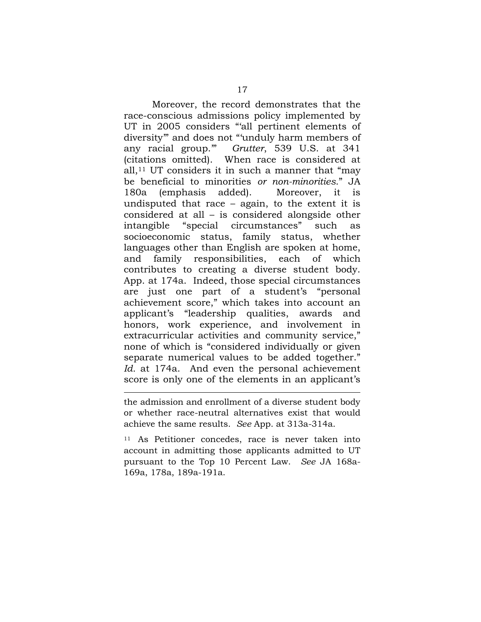Moreover, the record demonstrates that the race-conscious admissions policy implemented by UT in 2005 considers "'all pertinent elements of diversity'" and does not "'unduly harm members of any racial group.'" *Grutter*, 539 U.S. at 341 (citations omitted). When race is considered at all, $11$  UT considers it in such a manner that "may be beneficial to minorities *or non-minorities*." JA 180a (emphasis added). Moreover, it is undisputed that race – again, to the extent it is considered at all – is considered alongside other intangible "special circumstances" such as socioeconomic status, family status, whether languages other than English are spoken at home, and family responsibilities, each of which contributes to creating a diverse student body. App. at 174a. Indeed, those special circumstances are just one part of a student's "personal achievement score," which takes into account an applicant's "leadership qualities, awards and honors, work experience, and involvement in extracurricular activities and community service," none of which is "considered individually or given separate numerical values to be added together." *Id.* at 174a. And even the personal achievement score is only one of the elements in an applicant's

the admission and enrollment of a diverse student body or whether race-neutral alternatives exist that would achieve the same results. *See* App. at 313a-314a.

<sup>11</sup> As Petitioner concedes, race is never taken into account in admitting those applicants admitted to UT pursuant to the Top 10 Percent Law. *See* JA 168a-169a, 178a, 189a-191a.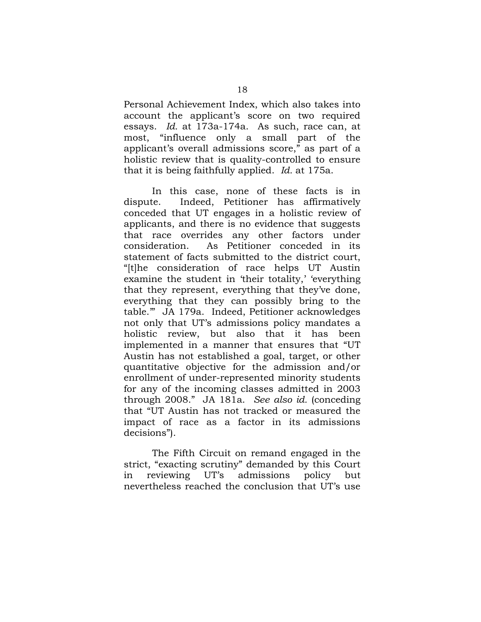Personal Achievement Index, which also takes into account the applicant's score on two required essays. *Id.* at 173a-174a. As such, race can, at most, "influence only a small part of the applicant's overall admissions score," as part of a holistic review that is quality-controlled to ensure that it is being faithfully applied. *Id.* at 175a.

In this case, none of these facts is in dispute. Indeed, Petitioner has affirmatively conceded that UT engages in a holistic review of applicants, and there is no evidence that suggests that race overrides any other factors under consideration. As Petitioner conceded in its statement of facts submitted to the district court, "[t]he consideration of race helps UT Austin examine the student in 'their totality,' 'everything that they represent, everything that they've done, everything that they can possibly bring to the table.'" JA 179a. Indeed, Petitioner acknowledges not only that UT's admissions policy mandates a holistic review, but also that it has been implemented in a manner that ensures that "UT Austin has not established a goal, target, or other quantitative objective for the admission and/or enrollment of under-represented minority students for any of the incoming classes admitted in 2003 through 2008." JA 181a. *See also id.* (conceding that "UT Austin has not tracked or measured the impact of race as a factor in its admissions decisions").

The Fifth Circuit on remand engaged in the strict, "exacting scrutiny" demanded by this Court in reviewing UT's admissions policy but nevertheless reached the conclusion that UT's use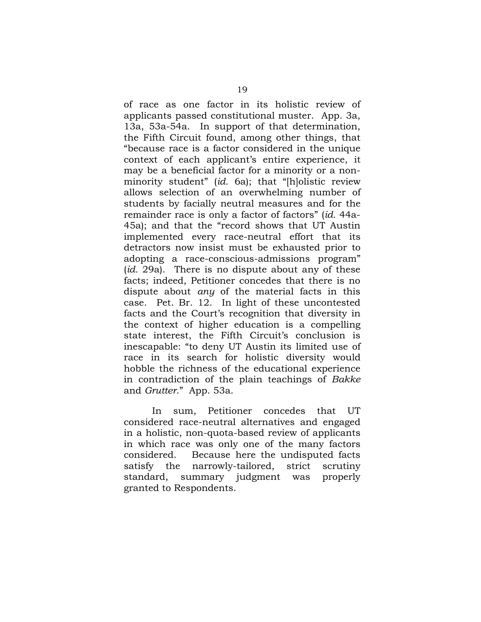of race as one factor in its holistic review of applicants passed constitutional muster. App. 3a, 13a, 53a-54a. In support of that determination, the Fifth Circuit found, among other things, that "because race is a factor considered in the unique context of each applicant's entire experience, it may be a beneficial factor for a minority or a nonminority student" (*id.* 6a); that "[h]olistic review allows selection of an overwhelming number of students by facially neutral measures and for the remainder race is only a factor of factors" (*id.* 44a-45a); and that the "record shows that UT Austin implemented every race-neutral effort that its detractors now insist must be exhausted prior to adopting a race-conscious-admissions program" (*id.* 29a). There is no dispute about any of these facts; indeed, Petitioner concedes that there is no dispute about *any* of the material facts in this case. Pet. Br. 12. In light of these uncontested facts and the Court's recognition that diversity in the context of higher education is a compelling state interest, the Fifth Circuit's conclusion is inescapable: "to deny UT Austin its limited use of race in its search for holistic diversity would hobble the richness of the educational experience in contradiction of the plain teachings of *Bakke* and *Grutter*." App. 53a.

In sum, Petitioner concedes that UT considered race-neutral alternatives and engaged in a holistic, non-quota-based review of applicants in which race was only one of the many factors considered. Because here the undisputed facts satisfy the narrowly-tailored, strict scrutiny standard, summary judgment was properly granted to Respondents.